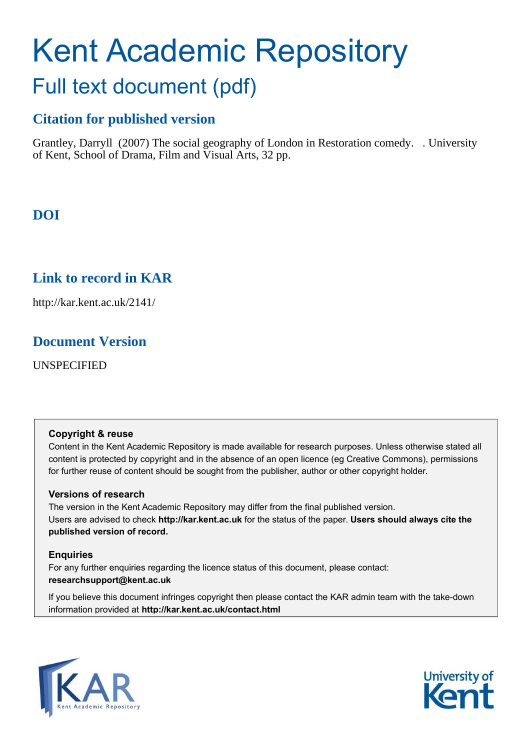# Kent Academic Repository Full text document (pdf)

# **Citation for published version**

Grantley, Darryll (2007) The social geography of London in Restoration comedy. . University of Kent, School of Drama, Film and Visual Arts, 32 pp.

# **DOI**

## **Link to record in KAR**

http://kar.kent.ac.uk/2141/

## **Document Version**

UNSPECIFIED

## **Copyright & reuse**

Content in the Kent Academic Repository is made available for research purposes. Unless otherwise stated all content is protected by copyright and in the absence of an open licence (eg Creative Commons), permissions for further reuse of content should be sought from the publisher, author or other copyright holder.

## **Versions of research**

The version in the Kent Academic Repository may differ from the final published version. Users are advised to check **http://kar.kent.ac.uk** for the status of the paper. **Users should always cite the published version of record.**

## **Enquiries**

For any further enquiries regarding the licence status of this document, please contact: **researchsupport@kent.ac.uk**

If you believe this document infringes copyright then please contact the KAR admin team with the take-down information provided at **http://kar.kent.ac.uk/contact.html**



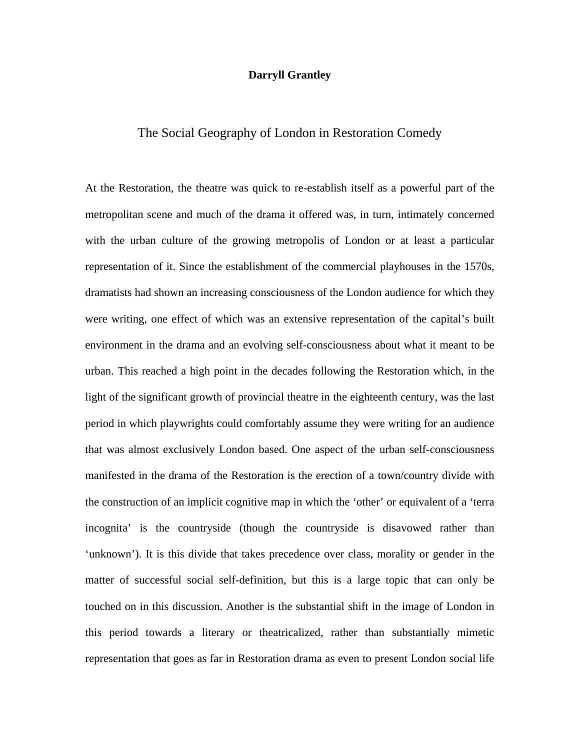#### **Darryll Grantley**

## The Social Geography of London in Restoration Comedy

At the Restoration, the theatre was quick to re-establish itself as a powerful part of the metropolitan scene and much of the drama it offered was, in turn, intimately concerned with the urban culture of the growing metropolis of London or at least a particular representation of it. Since the establishment of the commercial playhouses in the 1570s, dramatists had shown an increasing consciousness of the London audience for which they were writing, one effect of which was an extensive representation of the capital's built environment in the drama and an evolving self-consciousness about what it meant to be urban. This reached a high point in the decades following the Restoration which, in the light of the significant growth of provincial theatre in the eighteenth century, was the last period in which playwrights could comfortably assume they were writing for an audience that was almost exclusively London based. One aspect of the urban self-consciousness manifested in the drama of the Restoration is the erection of a town/country divide with the construction of an implicit cognitive map in which the 'other' or equivalent of a 'terra incognita' is the countryside (though the countryside is disavowed rather than 'unknown'). It is this divide that takes precedence over class, morality or gender in the matter of successful social self-definition, but this is a large topic that can only be touched on in this discussion. Another is the substantial shift in the image of London in this period towards a literary or theatricalized, rather than substantially mimetic representation that goes as far in Restoration drama as even to present London social life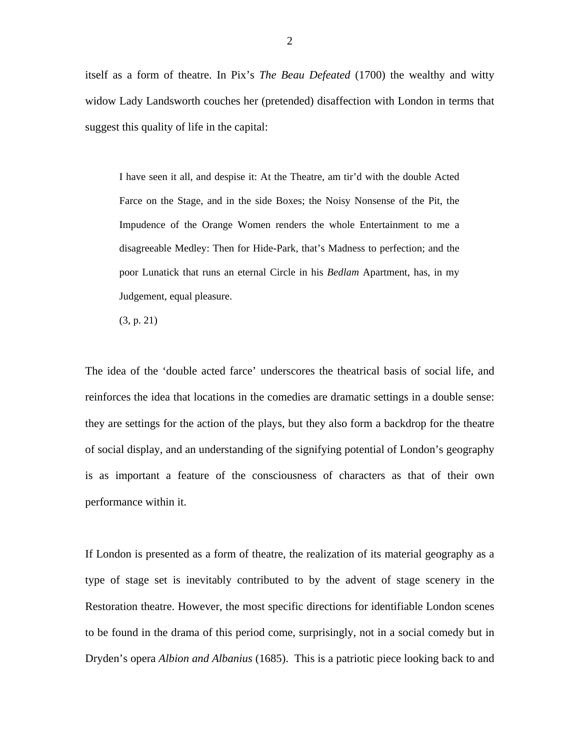itself as a form of theatre. In Pix's *The Beau Defeated* (1700) the wealthy and witty widow Lady Landsworth couches her (pretended) disaffection with London in terms that suggest this quality of life in the capital:

I have seen it all, and despise it: At the Theatre, am tir'd with the double Acted Farce on the Stage, and in the side Boxes; the Noisy Nonsense of the Pit, the Impudence of the Orange Women renders the whole Entertainment to me a disagreeable Medley: Then for Hide-Park, that's Madness to perfection; and the poor Lunatick that runs an eternal Circle in his *Bedlam* Apartment, has, in my Judgement, equal pleasure.

(3, p. 21)

The idea of the 'double acted farce' underscores the theatrical basis of social life, and reinforces the idea that locations in the comedies are dramatic settings in a double sense: they are settings for the action of the plays, but they also form a backdrop for the theatre of social display, and an understanding of the signifying potential of London's geography is as important a feature of the consciousness of characters as that of their own performance within it.

If London is presented as a form of theatre, the realization of its material geography as a type of stage set is inevitably contributed to by the advent of stage scenery in the Restoration theatre. However, the most specific directions for identifiable London scenes to be found in the drama of this period come, surprisingly, not in a social comedy but in Dryden's opera *Albion and Albanius* (1685). This is a patriotic piece looking back to and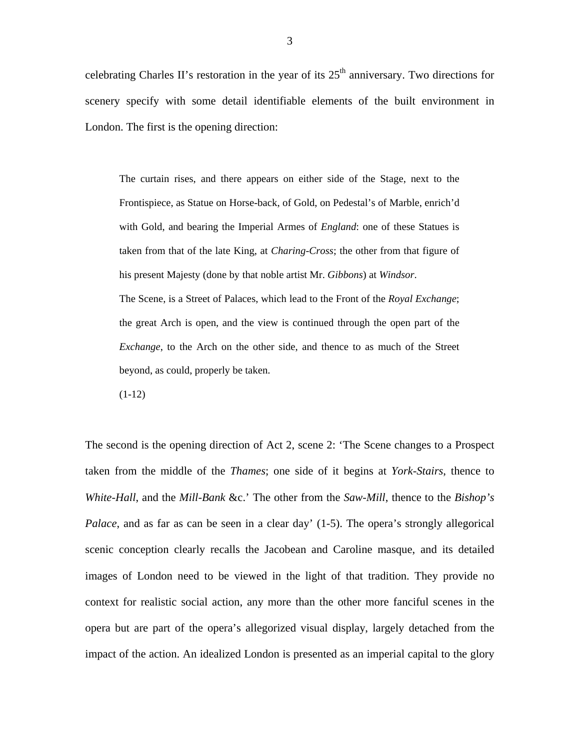celebrating Charles II's restoration in the year of its  $25<sup>th</sup>$  anniversary. Two directions for scenery specify with some detail identifiable elements of the built environment in London. The first is the opening direction:

The curtain rises, and there appears on either side of the Stage, next to the Frontispiece, as Statue on Horse-back, of Gold, on Pedestal's of Marble, enrich'd with Gold, and bearing the Imperial Armes of *England*: one of these Statues is taken from that of the late King, at *Charing-Cross*; the other from that figure of his present Majesty (done by that noble artist Mr. *Gibbons*) at *Windsor*. The Scene, is a Street of Palaces, which lead to the Front of the *Royal Exchange*; the great Arch is open, and the view is continued through the open part of the *Exchange*, to the Arch on the other side, and thence to as much of the Street beyond, as could, properly be taken.

 $(1-12)$ 

<span id="page-3-0"></span>The second is the opening direction of Act 2, scene 2: 'The Scene changes to a Prospect taken from the middle of the *Thames*; one side of it begins at *York-Stairs*, thence to *White-Hall*, and the *Mill-Bank* &c.' The other from the *Saw-Mill*, thence to the *Bishop's Palace*, and as far as can be seen in a clear day' (1-5). The opera's strongly allegorical scenic conception clearly recalls the Jacobean and Caroline masque, and its detailed images of London need to be viewed in the light of that tradition. They provide no context for realistic social action, any more than the other more fanciful scenes in the opera but are part of the opera's allegorized visual display, largely detached from the impact of the action. An idealized London is presented as an imperial capital to the glory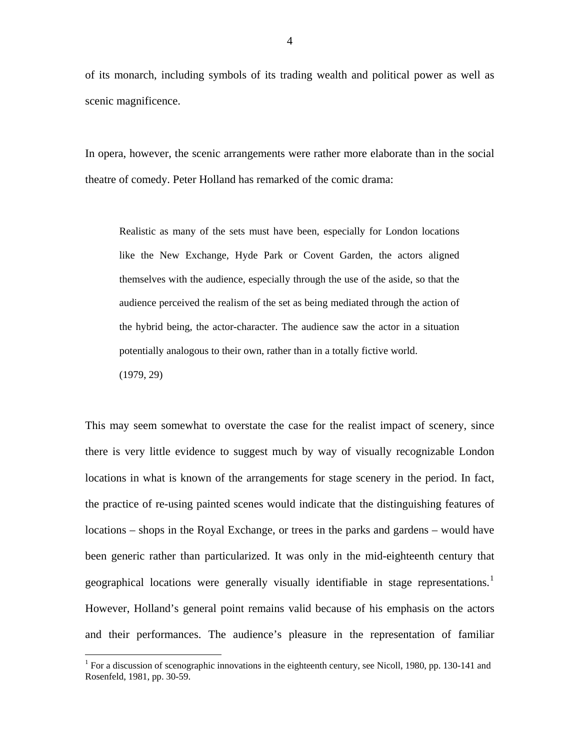of its monarch, including symbols of its trading wealth and political power as well as scenic magnificence.

In opera, however, the scenic arrangements were rather more elaborate than in the social theatre of comedy. Peter Holland has remarked of the comic drama:

Realistic as many of the sets must have been, especially for London locations like the New Exchange, Hyde Park or Covent Garden, the actors aligned themselves with the audience, especially through the use of the aside, so that the audience perceived the realism of the set as being mediated through the action of the hybrid being, the actor-character. The audience saw the actor in a situation potentially analogous to their own, rather than in a totally fictive world. (1979, 29)

This may seem somewhat to overstate the case for the realist impact of scenery, since there is very little evidence to suggest much by way of visually recognizable London locations in what is known of the arrangements for stage scenery in the period. In fact, the practice of re-using painted scenes would indicate that the distinguishing features of locations – shops in the Royal Exchange, or trees in the parks and gardens – would have been generic rather than particularized. It was only in the mid-eighteenth century that geographical locations were generally visually identifiable in stage representations.<sup>[1](#page-3-0)</sup> However, Holland's general point remains valid because of his emphasis on the actors and their performances. The audience's pleasure in the representation of familiar

<sup>&</sup>lt;sup>1</sup> For a discussion of scenographic innovations in the eighteenth century, see Nicoll, 1980, pp. 130-141 and Rosenfeld, 1981, pp. 30-59.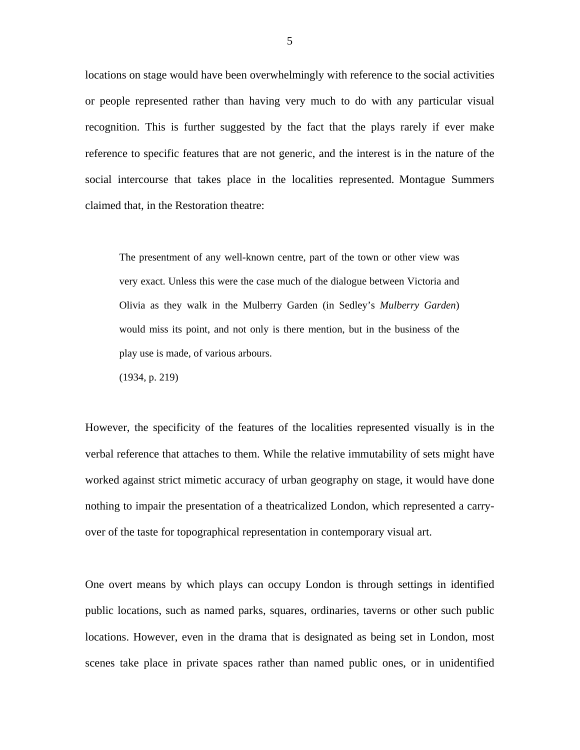locations on stage would have been overwhelmingly with reference to the social activities or people represented rather than having very much to do with any particular visual recognition. This is further suggested by the fact that the plays rarely if ever make reference to specific features that are not generic, and the interest is in the nature of the social intercourse that takes place in the localities represented. Montague Summers claimed that, in the Restoration theatre:

The presentment of any well-known centre, part of the town or other view was very exact. Unless this were the case much of the dialogue between Victoria and Olivia as they walk in the Mulberry Garden (in Sedley's *Mulberry Garden*) would miss its point, and not only is there mention, but in the business of the play use is made, of various arbours.

(1934, p. 219)

However, the specificity of the features of the localities represented visually is in the verbal reference that attaches to them. While the relative immutability of sets might have worked against strict mimetic accuracy of urban geography on stage, it would have done nothing to impair the presentation of a theatricalized London, which represented a carryover of the taste for topographical representation in contemporary visual art.

One overt means by which plays can occupy London is through settings in identified public locations, such as named parks, squares, ordinaries, taverns or other such public locations. However, even in the drama that is designated as being set in London, most scenes take place in private spaces rather than named public ones, or in unidentified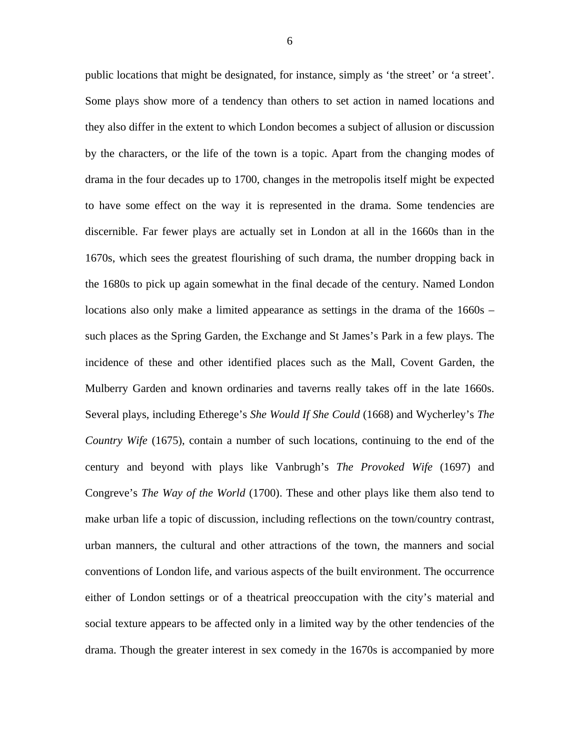public locations that might be designated, for instance, simply as 'the street' or 'a street'. Some plays show more of a tendency than others to set action in named locations and they also differ in the extent to which London becomes a subject of allusion or discussion by the characters, or the life of the town is a topic. Apart from the changing modes of drama in the four decades up to 1700, changes in the metropolis itself might be expected to have some effect on the way it is represented in the drama. Some tendencies are discernible. Far fewer plays are actually set in London at all in the 1660s than in the 1670s, which sees the greatest flourishing of such drama, the number dropping back in the 1680s to pick up again somewhat in the final decade of the century. Named London locations also only make a limited appearance as settings in the drama of the 1660s – such places as the Spring Garden, the Exchange and St James's Park in a few plays. The incidence of these and other identified places such as the Mall, Covent Garden, the Mulberry Garden and known ordinaries and taverns really takes off in the late 1660s. Several plays, including Etherege's *She Would If She Could* (1668) and Wycherley's *The Country Wife* (1675), contain a number of such locations, continuing to the end of the century and beyond with plays like Vanbrugh's *The Provoked Wife* (1697) and Congreve's *The Way of the World* (1700). These and other plays like them also tend to make urban life a topic of discussion, including reflections on the town/country contrast, urban manners, the cultural and other attractions of the town, the manners and social conventions of London life, and various aspects of the built environment. The occurrence either of London settings or of a theatrical preoccupation with the city's material and social texture appears to be affected only in a limited way by the other tendencies of the drama. Though the greater interest in sex comedy in the 1670s is accompanied by more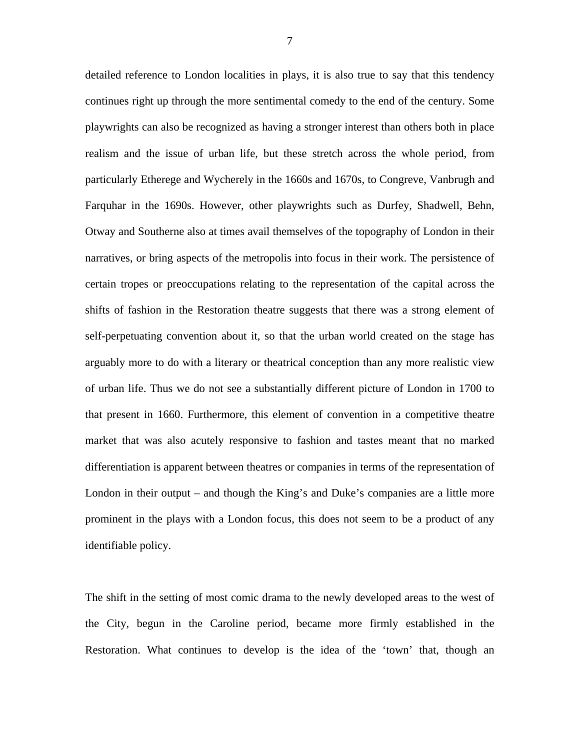detailed reference to London localities in plays, it is also true to say that this tendency continues right up through the more sentimental comedy to the end of the century. Some playwrights can also be recognized as having a stronger interest than others both in place realism and the issue of urban life, but these stretch across the whole period, from particularly Etherege and Wycherely in the 1660s and 1670s, to Congreve, Vanbrugh and Farquhar in the 1690s. However, other playwrights such as Durfey, Shadwell, Behn, Otway and Southerne also at times avail themselves of the topography of London in their narratives, or bring aspects of the metropolis into focus in their work. The persistence of certain tropes or preoccupations relating to the representation of the capital across the shifts of fashion in the Restoration theatre suggests that there was a strong element of self-perpetuating convention about it, so that the urban world created on the stage has arguably more to do with a literary or theatrical conception than any more realistic view of urban life. Thus we do not see a substantially different picture of London in 1700 to that present in 1660. Furthermore, this element of convention in a competitive theatre market that was also acutely responsive to fashion and tastes meant that no marked differentiation is apparent between theatres or companies in terms of the representation of London in their output – and though the King's and Duke's companies are a little more prominent in the plays with a London focus, this does not seem to be a product of any identifiable policy.

<span id="page-7-1"></span><span id="page-7-0"></span>The shift in the setting of most comic drama to the newly developed areas to the west of the City, begun in the Caroline period, became more firmly established in the Restoration. What continues to develop is the idea of the 'town' that, though an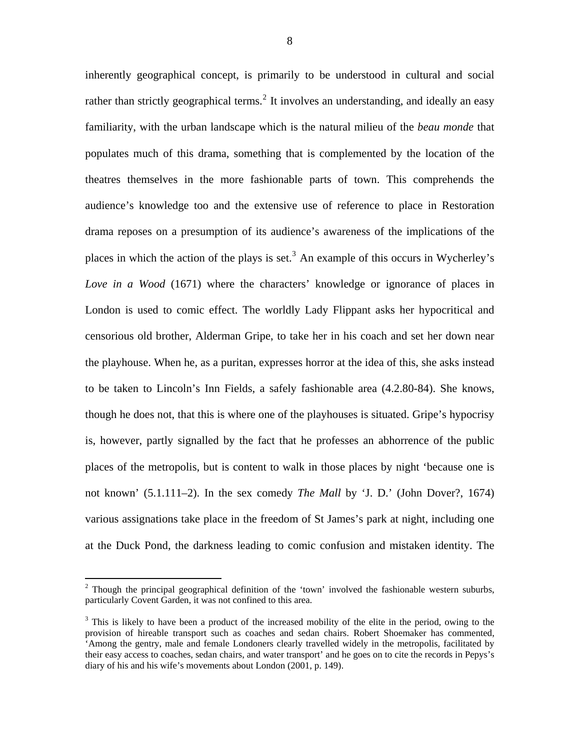inherently geographical concept, is primarily to be understood in cultural and social rather than strictly geographical terms.<sup>[2](#page-7-0)</sup> It involves an understanding, and ideally an easy familiarity, with the urban landscape which is the natural milieu of the *beau monde* that populates much of this drama, something that is complemented by the location of the theatres themselves in the more fashionable parts of town. This comprehends the audience's knowledge too and the extensive use of reference to place in Restoration drama reposes on a presumption of its audience's awareness of the implications of the places in which the action of the plays is set.<sup>[3](#page-7-1)</sup> An example of this occurs in Wycherley's *Love in a Wood* (1671) where the characters' knowledge or ignorance of places in London is used to comic effect. The worldly Lady Flippant asks her hypocritical and censorious old brother, Alderman Gripe, to take her in his coach and set her down near the playhouse. When he, as a puritan, expresses horror at the idea of this, she asks instead to be taken to Lincoln's Inn Fields, a safely fashionable area (4.2.80-84). She knows, though he does not, that this is where one of the playhouses is situated. Gripe's hypocrisy is, however, partly signalled by the fact that he professes an abhorrence of the public places of the metropolis, but is content to walk in those places by night 'because one is not known' (5.1.111–2). In the sex comedy *The Mall* by 'J. D.' (John Dover?, 1674) various assignations take place in the freedom of St James's park at night, including one at the Duck Pond, the darkness leading to comic confusion and mistaken identity. The

Though the principal geographical definition of the 'town' involved the fashionable western suburbs, particularly Covent Garden, it was not confined to this area.

<sup>&</sup>lt;sup>3</sup> This is likely to have been a product of the increased mobility of the elite in the period, owing to the provision of hireable transport such as coaches and sedan chairs. Robert Shoemaker has commented, 'Among the gentry, male and female Londoners clearly travelled widely in the metropolis, facilitated by their easy access to coaches, sedan chairs, and water transport' and he goes on to cite the records in Pepys's diary of his and his wife's movements about London (2001, p. 149).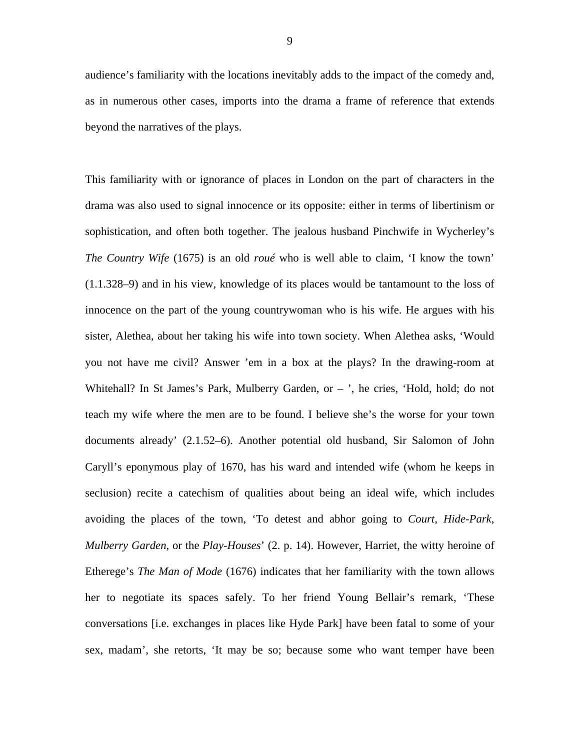audience's familiarity with the locations inevitably adds to the impact of the comedy and, as in numerous other cases, imports into the drama a frame of reference that extends beyond the narratives of the plays.

This familiarity with or ignorance of places in London on the part of characters in the drama was also used to signal innocence or its opposite: either in terms of libertinism or sophistication, and often both together. The jealous husband Pinchwife in Wycherley's *The Country Wife* (1675) is an old *roué* who is well able to claim, 'I know the town' (1.1.328–9) and in his view, knowledge of its places would be tantamount to the loss of innocence on the part of the young countrywoman who is his wife. He argues with his sister, Alethea, about her taking his wife into town society. When Alethea asks, 'Would you not have me civil? Answer 'em in a box at the plays? In the drawing-room at Whitehall? In St James's Park, Mulberry Garden, or – ', he cries, 'Hold, hold; do not teach my wife where the men are to be found. I believe she's the worse for your town documents already' (2.1.52–6). Another potential old husband, Sir Salomon of John Caryll's eponymous play of 1670, has his ward and intended wife (whom he keeps in seclusion) recite a catechism of qualities about being an ideal wife, which includes avoiding the places of the town, 'To detest and abhor going to *Court*, *Hide-Park*, *Mulberry Garden*, or the *Play-Houses*' (2. p. 14). However, Harriet, the witty heroine of Etherege's *The Man of Mode* (1676) indicates that her familiarity with the town allows her to negotiate its spaces safely. To her friend Young Bellair's remark, 'These conversations [i.e. exchanges in places like Hyde Park] have been fatal to some of your sex, madam', she retorts, 'It may be so; because some who want temper have been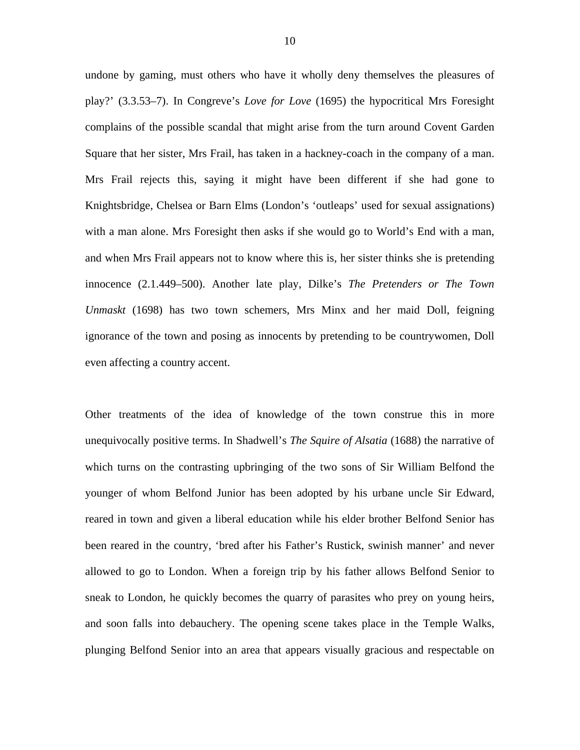undone by gaming, must others who have it wholly deny themselves the pleasures of play?' (3.3.53–7). In Congreve's *Love for Love* (1695) the hypocritical Mrs Foresight complains of the possible scandal that might arise from the turn around Covent Garden Square that her sister, Mrs Frail, has taken in a hackney-coach in the company of a man. Mrs Frail rejects this, saying it might have been different if she had gone to Knightsbridge, Chelsea or Barn Elms (London's 'outleaps' used for sexual assignations) with a man alone. Mrs Foresight then asks if she would go to World's End with a man, and when Mrs Frail appears not to know where this is, her sister thinks she is pretending innocence (2.1.449–500). Another late play, Dilke's *The Pretenders or The Town Unmaskt* (1698) has two town schemers, Mrs Minx and her maid Doll, feigning ignorance of the town and posing as innocents by pretending to be countrywomen, Doll even affecting a country accent.

Other treatments of the idea of knowledge of the town construe this in more unequivocally positive terms. In Shadwell's *The Squire of Alsatia* (1688) the narrative of which turns on the contrasting upbringing of the two sons of Sir William Belfond the younger of whom Belfond Junior has been adopted by his urbane uncle Sir Edward, reared in town and given a liberal education while his elder brother Belfond Senior has been reared in the country, 'bred after his Father's Rustick, swinish manner' and never allowed to go to London. When a foreign trip by his father allows Belfond Senior to sneak to London, he quickly becomes the quarry of parasites who prey on young heirs, and soon falls into debauchery. The opening scene takes place in the Temple Walks, plunging Belfond Senior into an area that appears visually gracious and respectable on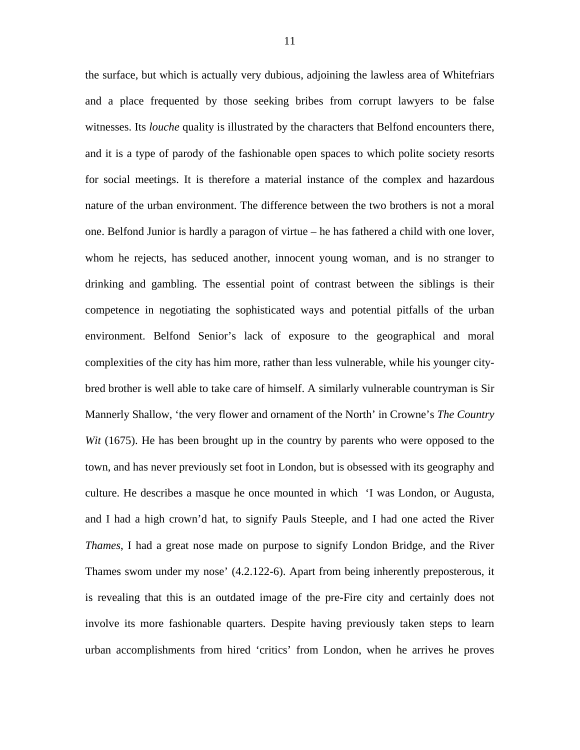<span id="page-11-1"></span><span id="page-11-0"></span>the surface, but which is actually very dubious, adjoining the lawless area of Whitefriars and a place frequented by those seeking bribes from corrupt lawyers to be false witnesses. Its *louche* quality is illustrated by the characters that Belfond encounters there, and it is a type of parody of the fashionable open spaces to which polite society resorts for social meetings. It is therefore a material instance of the complex and hazardous nature of the urban environment. The difference between the two brothers is not a moral one. Belfond Junior is hardly a paragon of virtue – he has fathered a child with one lover, whom he rejects, has seduced another, innocent young woman, and is no stranger to drinking and gambling. The essential point of contrast between the siblings is their competence in negotiating the sophisticated ways and potential pitfalls of the urban environment. Belfond Senior's lack of exposure to the geographical and moral complexities of the city has him more, rather than less vulnerable, while his younger citybred brother is well able to take care of himself. A similarly vulnerable countryman is Sir Mannerly Shallow, 'the very flower and ornament of the North' in Crowne's *The Country Wit* (1675). He has been brought up in the country by parents who were opposed to the town, and has never previously set foot in London, but is obsessed with its geography and culture. He describes a masque he once mounted in which 'I was London, or Augusta, and I had a high crown'd hat, to signify Pauls Steeple, and I had one acted the River *Thames*, I had a great nose made on purpose to signify London Bridge, and the River Thames swom under my nose' (4.2.122-6). Apart from being inherently preposterous, it is revealing that this is an outdated image of the pre-Fire city and certainly does not involve its more fashionable quarters. Despite having previously taken steps to learn urban accomplishments from hired 'critics' from London, when he arrives he proves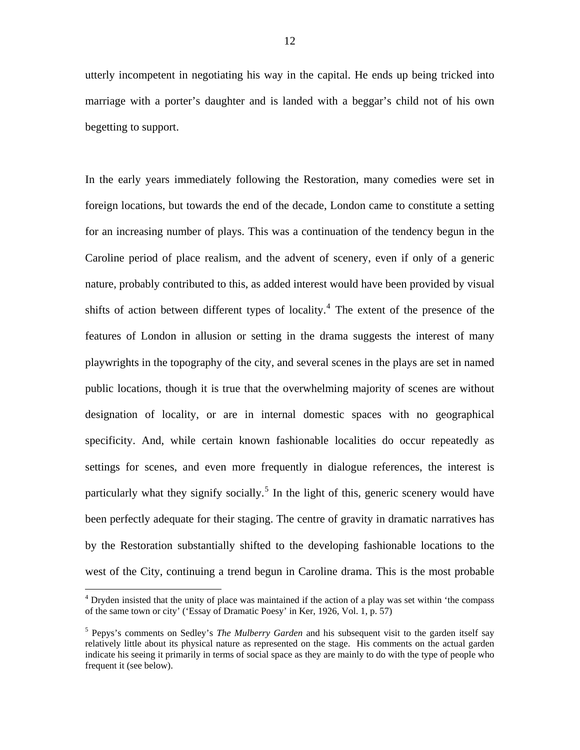utterly incompetent in negotiating his way in the capital. He ends up being tricked into marriage with a porter's daughter and is landed with a beggar's child not of his own begetting to support.

In the early years immediately following the Restoration, many comedies were set in foreign locations, but towards the end of the decade, London came to constitute a setting for an increasing number of plays. This was a continuation of the tendency begun in the Caroline period of place realism, and the advent of scenery, even if only of a generic nature, probably contributed to this, as added interest would have been provided by visual shifts of action between different types of locality.<sup>[4](#page-11-0)</sup> The extent of the presence of the features of London in allusion or setting in the drama suggests the interest of many playwrights in the topography of the city, and several scenes in the plays are set in named public locations, though it is true that the overwhelming majority of scenes are without designation of locality, or are in internal domestic spaces with no geographical specificity. And, while certain known fashionable localities do occur repeatedly as settings for scenes, and even more frequently in dialogue references, the interest is particularly what they signify socially.<sup>[5](#page-11-1)</sup> In the light of this, generic scenery would have been perfectly adequate for their staging. The centre of gravity in dramatic narratives has by the Restoration substantially shifted to the developing fashionable locations to the west of the City, continuing a trend begun in Caroline drama. This is the most probable

<span id="page-12-1"></span><span id="page-12-0"></span><sup>&</sup>lt;sup>4</sup> Dryden insisted that the unity of place was maintained if the action of a play was set within 'the compass of the same town or city' ('Essay of Dramatic Poesy' in Ker, 1926, Vol. 1, p. 57)

<span id="page-12-2"></span><sup>5</sup> Pepys's comments on Sedley's *The Mulberry Garden* and his subsequent visit to the garden itself say relatively little about its physical nature as represented on the stage. His comments on the actual garden indicate his seeing it primarily in terms of social space as they are mainly to do with the type of people who frequent it (see below).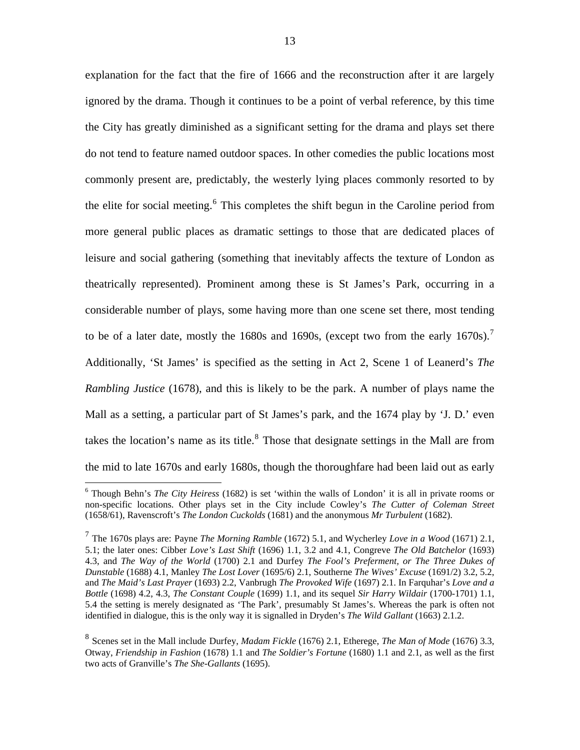explanation for the fact that the fire of 1666 and the reconstruction after it are largely ignored by the drama. Though it continues to be a point of verbal reference, by this time the City has greatly diminished as a significant setting for the drama and plays set there do not tend to feature named outdoor spaces. In other comedies the public locations most commonly present are, predictably, the westerly lying places commonly resorted to by the elite for social meeting.<sup>[6](#page-12-0)</sup> This completes the shift begun in the Caroline period from more general public places as dramatic settings to those that are dedicated places of leisure and social gathering (something that inevitably affects the texture of London as theatrically represented). Prominent among these is St James's Park, occurring in a considerable number of plays, some having more than one scene set there, most tending to be of a later date, mostly the 1680s and 1690s, (except two from the early 16[7](#page-12-1)0s).<sup>7</sup> Additionally, 'St James' is specified as the setting in Act 2, Scene 1 of Leanerd's *The Rambling Justice* (1678), and this is likely to be the park. A number of plays name the Mall as a setting, a particular part of St James's park, and the 1674 play by 'J. D.' even takes the location's name as its title. $8$  Those that designate settings in the Mall are from the mid to late 1670s and early 1680s, though the thoroughfare had been laid out as early

<sup>6</sup> Though Behn's *The City Heiress* (1682) is set 'within the walls of London' it is all in private rooms or non-specific locations. Other plays set in the City include Cowley's *The Cutter of Coleman Street* (1658/61), Ravenscroft's *The London Cuckolds* (1681) and the anonymous *Mr Turbulent* (1682).

<sup>7</sup> The 1670s plays are: Payne *The Morning Ramble* (1672) 5.1, and Wycherley *Love in a Wood* (1671) 2.1, 5.1; the later ones: Cibber *Love's Last Shift* (1696) 1.1, 3.2 and 4.1, Congreve *The Old Batchelor* (1693) 4.3, and *The Way of the World* (1700) 2.1 and Durfey *The Fool's Preferment, or The Three Dukes of Dunstable* (1688) 4.1, Manley *The Lost Lover* (1695/6) 2.1, Southerne *The Wives' Excuse* (1691/2) 3.2, 5.2, and *The Maid's Last Prayer* (1693) 2.2, Vanbrugh *The Provoked Wife* (1697) 2.1. In Farquhar's *Love and a Bottle* (1698) 4.2, 4.3, *The Constant Couple* (1699) 1.1, and its sequel *Sir Harry Wildair* (1700-1701) 1.1, 5.4 the setting is merely designated as 'The Park', presumably St James's. Whereas the park is often not identified in dialogue, this is the only way it is signalled in Dryden's *The Wild Gallant* (1663) 2.1.2.

<span id="page-13-0"></span><sup>8</sup> Scenes set in the Mall include Durfey, *Madam Fickle* (1676) 2.1, Etherege, *The Man of Mode* (1676) 3.3, Otway, *Friendship in Fashion* (1678) 1.1 and *The Soldier's Fortune* (1680) 1.1 and 2.1, as well as the first two acts of Granville's *The She-Gallants* (1695).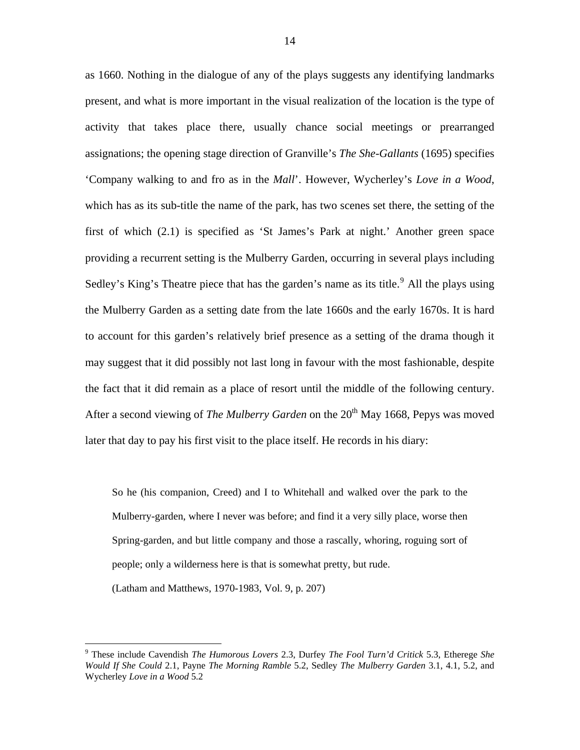as 1660. Nothing in the dialogue of any of the plays suggests any identifying landmarks present, and what is more important in the visual realization of the location is the type of activity that takes place there, usually chance social meetings or prearranged assignations; the opening stage direction of Granville's *The She-Gallants* (1695) specifies 'Company walking to and fro as in the *Mall*'. However, Wycherley's *Love in a Wood*, which has as its sub-title the name of the park, has two scenes set there, the setting of the first of which (2.1) is specified as 'St James's Park at night.' Another green space providing a recurrent setting is the Mulberry Garden, occurring in several plays including Sedley's King's Theatre piece that has the garden's name as its title.<sup>[9](#page-13-0)</sup> All the plays using the Mulberry Garden as a setting date from the late 1660s and the early 1670s. It is hard to account for this garden's relatively brief presence as a setting of the drama though it may suggest that it did possibly not last long in favour with the most fashionable, despite the fact that it did remain as a place of resort until the middle of the following century. After a second viewing of *The Mulberry Garden* on the 20<sup>th</sup> May 1668, Pepys was moved later that day to pay his first visit to the place itself. He records in his diary:

So he (his companion, Creed) and I to Whitehall and walked over the park to the Mulberry-garden, where I never was before; and find it a very silly place, worse then Spring-garden, and but little company and those a rascally, whoring, roguing sort of people; only a wilderness here is that is somewhat pretty, but rude.

(Latham and Matthews, 1970-1983, Vol. 9, p. 207)

<sup>9</sup> These include Cavendish *The Humorous Lovers* 2.3, Durfey *The Fool Turn'd Critick* 5.3, Etherege *She Would If She Could* 2.1, Payne *The Morning Ramble* 5.2, Sedley *The Mulberry Garden* 3.1, 4.1, 5.2, and Wycherley *Love in a Wood* 5.2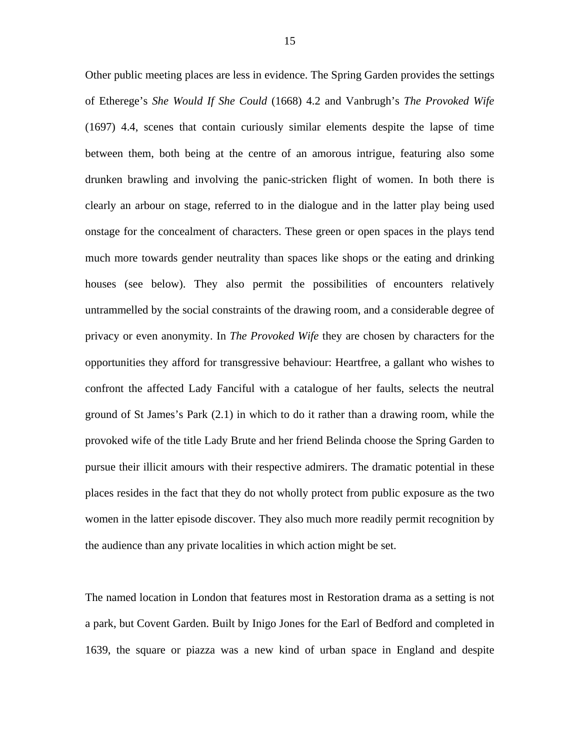Other public meeting places are less in evidence. The Spring Garden provides the settings of Etherege's *She Would If She Could* (1668) 4.2 and Vanbrugh's *The Provoked Wife* (1697) 4.4, scenes that contain curiously similar elements despite the lapse of time between them, both being at the centre of an amorous intrigue, featuring also some drunken brawling and involving the panic-stricken flight of women. In both there is clearly an arbour on stage, referred to in the dialogue and in the latter play being used onstage for the concealment of characters. These green or open spaces in the plays tend much more towards gender neutrality than spaces like shops or the eating and drinking houses (see below). They also permit the possibilities of encounters relatively untrammelled by the social constraints of the drawing room, and a considerable degree of privacy or even anonymity. In *The Provoked Wife* they are chosen by characters for the opportunities they afford for transgressive behaviour: Heartfree, a gallant who wishes to confront the affected Lady Fanciful with a catalogue of her faults, selects the neutral ground of St James's Park (2.1) in which to do it rather than a drawing room, while the provoked wife of the title Lady Brute and her friend Belinda choose the Spring Garden to pursue their illicit amours with their respective admirers. The dramatic potential in these places resides in the fact that they do not wholly protect from public exposure as the two women in the latter episode discover. They also much more readily permit recognition by the audience than any private localities in which action might be set.

<span id="page-15-0"></span>The named location in London that features most in Restoration drama as a setting is not a park, but Covent Garden. Built by Inigo Jones for the Earl of Bedford and completed in 1639, the square or piazza was a new kind of urban space in England and despite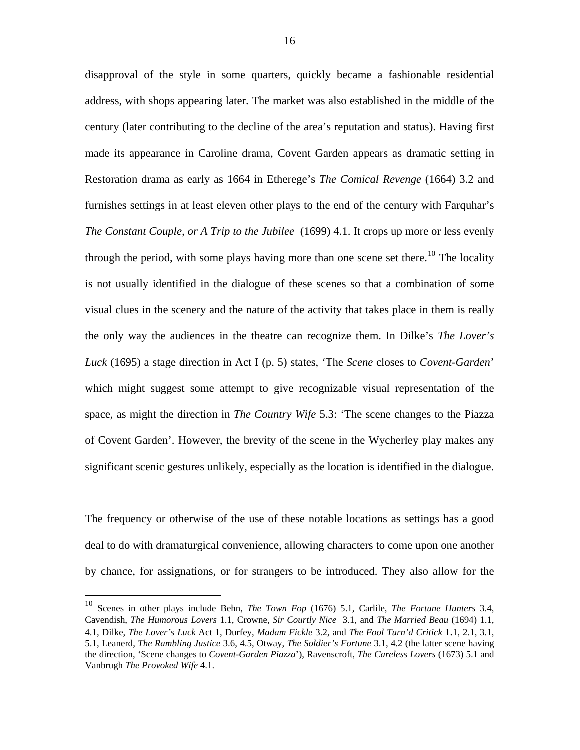disapproval of the style in some quarters, quickly became a fashionable residential address, with shops appearing later. The market was also established in the middle of the century (later contributing to the decline of the area's reputation and status). Having first made its appearance in Caroline drama, Covent Garden appears as dramatic setting in Restoration drama as early as 1664 in Etherege's *The Comical Revenge* (1664) 3.2 and furnishes settings in at least eleven other plays to the end of the century with Farquhar's *The Constant Couple, or A Trip to the Jubilee* (1699) 4.1. It crops up more or less evenly through the period, with some plays having more than one scene set there.<sup>[10](#page-15-0)</sup> The locality is not usually identified in the dialogue of these scenes so that a combination of some visual clues in the scenery and the nature of the activity that takes place in them is really the only way the audiences in the theatre can recognize them. In Dilke's *The Lover's Luck* (1695) a stage direction in Act I (p. 5) states, 'The *Scene* closes to *Covent-Garden*' which might suggest some attempt to give recognizable visual representation of the space, as might the direction in *The Country Wife* 5.3: 'The scene changes to the Piazza of Covent Garden'. However, the brevity of the scene in the Wycherley play makes any significant scenic gestures unlikely, especially as the location is identified in the dialogue.

The frequency or otherwise of the use of these notable locations as settings has a good deal to do with dramaturgical convenience, allowing characters to come upon one another by chance, for assignations, or for strangers to be introduced. They also allow for the

<u>.</u>

<span id="page-16-0"></span><sup>10</sup> Scenes in other plays include Behn, *The Town Fop* (1676) 5.1, Carlile, *The Fortune Hunters* 3.4, Cavendish, *The Humorous Lovers* 1.1, Crowne, *Sir Courtly Nice* 3.1, and *The Married Beau* (1694) 1.1, 4.1, Dilke, *The Lover's Luck* Act 1, Durfey, *Madam Fickle* 3.2, and *The Fool Turn'd Critick* 1.1, 2.1, 3.1, 5.1, Leanerd, *The Rambling Justice* 3.6, 4.5, Otway, *The Soldier's Fortune* 3.1, 4.2 (the latter scene having the direction, 'Scene changes to *Covent-Garden Piazza*'), Ravenscroft, *The Careless Lovers* (1673) 5.1 and Vanbrugh *The Provoked Wife* 4.1.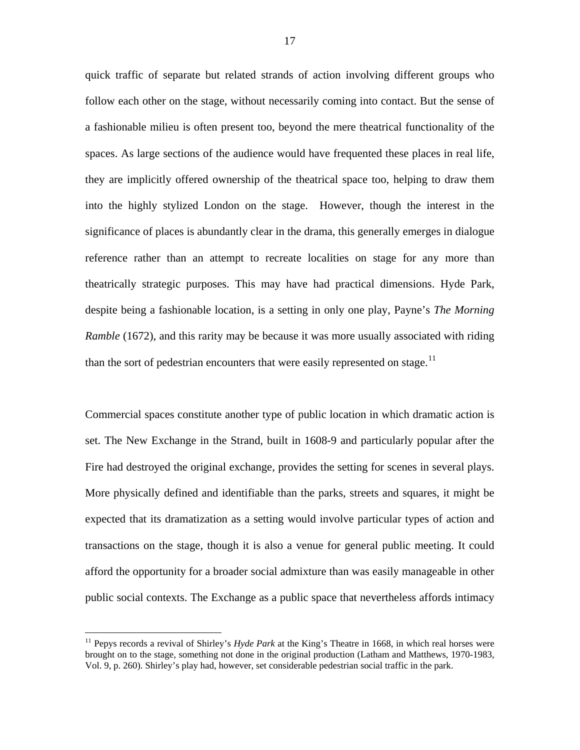quick traffic of separate but related strands of action involving different groups who follow each other on the stage, without necessarily coming into contact. But the sense of a fashionable milieu is often present too, beyond the mere theatrical functionality of the spaces. As large sections of the audience would have frequented these places in real life, they are implicitly offered ownership of the theatrical space too, helping to draw them into the highly stylized London on the stage. However, though the interest in the significance of places is abundantly clear in the drama, this generally emerges in dialogue reference rather than an attempt to recreate localities on stage for any more than theatrically strategic purposes. This may have had practical dimensions. Hyde Park, despite being a fashionable location, is a setting in only one play, Payne's *The Morning Ramble* (1672), and this rarity may be because it was more usually associated with riding than the sort of pedestrian encounters that were easily represented on stage.<sup>[11](#page-16-0)</sup>

Commercial spaces constitute another type of public location in which dramatic action is set. The New Exchange in the Strand, built in 1608-9 and particularly popular after the Fire had destroyed the original exchange, provides the setting for scenes in several plays. More physically defined and identifiable than the parks, streets and squares, it might be expected that its dramatization as a setting would involve particular types of action and transactions on the stage, though it is also a venue for general public meeting. It could afford the opportunity for a broader social admixture than was easily manageable in other public social contexts. The Exchange as a public space that nevertheless affords intimacy

<span id="page-17-0"></span><sup>&</sup>lt;sup>11</sup> Pepys records a revival of Shirley's *Hyde Park* at the King's Theatre in 1668, in which real horses were brought on to the stage, something not done in the original production (Latham and Matthews, 1970-1983, Vol. 9, p. 260). Shirley's play had, however, set considerable pedestrian social traffic in the park.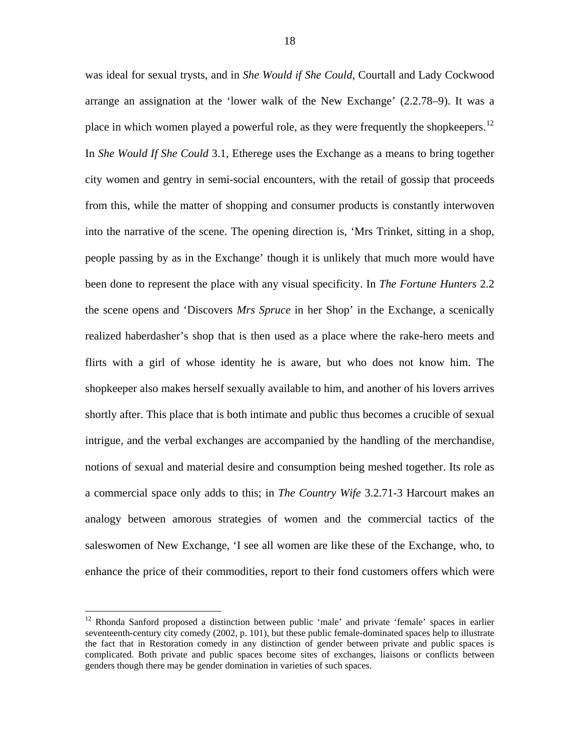was ideal for sexual trysts, and in *She Would if She Could*, Courtall and Lady Cockwood arrange an assignation at the 'lower walk of the New Exchange' (2.2.78–9). It was a place in which women played a powerful role, as they were frequently the shopkeepers.<sup>[12](#page-17-0)</sup> In *She Would If She Could* 3.1, Etherege uses the Exchange as a means to bring together city women and gentry in semi-social encounters, with the retail of gossip that proceeds from this, while the matter of shopping and consumer products is constantly interwoven into the narrative of the scene. The opening direction is, 'Mrs Trinket, sitting in a shop, people passing by as in the Exchange' though it is unlikely that much more would have been done to represent the place with any visual specificity. In *The Fortune Hunters* 2.2 the scene opens and 'Discovers *Mrs Spruce* in her Shop' in the Exchange, a scenically realized haberdasher's shop that is then used as a place where the rake-hero meets and flirts with a girl of whose identity he is aware, but who does not know him. The shopkeeper also makes herself sexually available to him, and another of his lovers arrives shortly after. This place that is both intimate and public thus becomes a crucible of sexual intrigue, and the verbal exchanges are accompanied by the handling of the merchandise, notions of sexual and material desire and consumption being meshed together. Its role as a commercial space only adds to this; in *The Country Wife* 3.2.71-3 Harcourt makes an analogy between amorous strategies of women and the commercial tactics of the saleswomen of New Exchange, 'I see all women are like these of the Exchange, who, to enhance the price of their commodities, report to their fond customers offers which were

<u>.</u>

<span id="page-18-0"></span><sup>&</sup>lt;sup>12</sup> Rhonda Sanford proposed a distinction between public 'male' and private 'female' spaces in earlier seventeenth-century city comedy (2002, p. 101), but these public female-dominated spaces help to illustrate the fact that in Restoration comedy in any distinction of gender between private and public spaces is complicated. Both private and public spaces become sites of exchanges, liaisons or conflicts between genders though there may be gender domination in varieties of such spaces.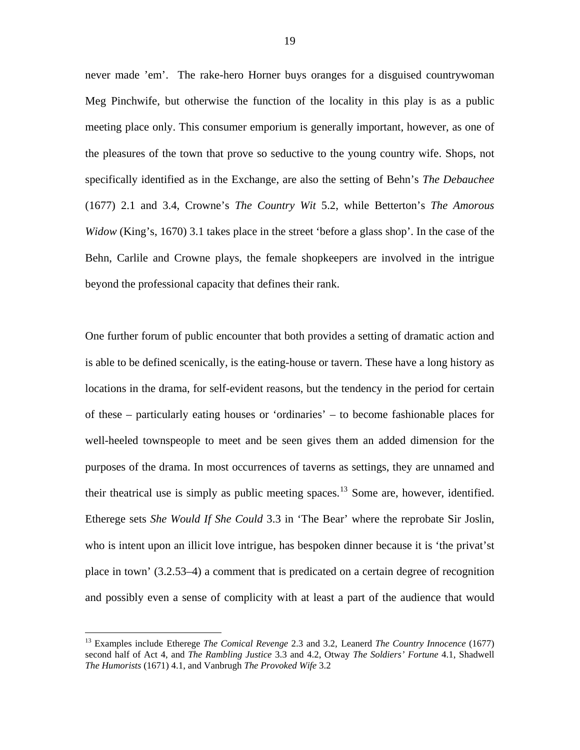never made 'em'. The rake-hero Horner buys oranges for a disguised countrywoman Meg Pinchwife, but otherwise the function of the locality in this play is as a public meeting place only. This consumer emporium is generally important, however, as one of the pleasures of the town that prove so seductive to the young country wife. Shops, not specifically identified as in the Exchange, are also the setting of Behn's *The Debauchee* (1677) 2.1 and 3.4, Crowne's *The Country Wit* 5.2, while Betterton's *The Amorous Widow* (King's, 1670) 3.1 takes place in the street 'before a glass shop'. In the case of the Behn, Carlile and Crowne plays, the female shopkeepers are involved in the intrigue beyond the professional capacity that defines their rank.

One further forum of public encounter that both provides a setting of dramatic action and is able to be defined scenically, is the eating-house or tavern. These have a long history as locations in the drama, for self-evident reasons, but the tendency in the period for certain of these – particularly eating houses or 'ordinaries' – to become fashionable places for well-heeled townspeople to meet and be seen gives them an added dimension for the purposes of the drama. In most occurrences of taverns as settings, they are unnamed and their theatrical use is simply as public meeting spaces.<sup>[13](#page-18-0)</sup> Some are, however, identified. Etherege sets *She Would If She Could* 3.3 in 'The Bear' where the reprobate Sir Joslin, who is intent upon an illicit love intrigue, has bespoken dinner because it is 'the privat'st place in town' (3.2.53–4) a comment that is predicated on a certain degree of recognition and possibly even a sense of complicity with at least a part of the audience that would

<sup>13</sup> Examples include Etherege *The Comical Revenge* 2.3 and 3.2, Leanerd *The Country Innocence* (1677) second half of Act 4, and *The Rambling Justice* 3.3 and 4.2, Otway *The Soldiers' Fortune* 4.1, Shadwell *The Humorists* (1671) 4.1, and Vanbrugh *The Provoked Wife* 3.2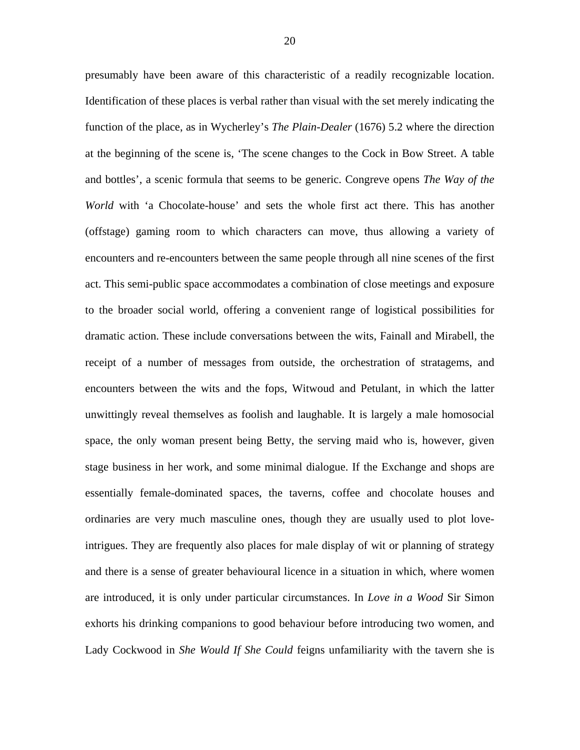presumably have been aware of this characteristic of a readily recognizable location. Identification of these places is verbal rather than visual with the set merely indicating the function of the place, as in Wycherley's *The Plain-Dealer* (1676) 5.2 where the direction at the beginning of the scene is, 'The scene changes to the Cock in Bow Street. A table and bottles', a scenic formula that seems to be generic. Congreve opens *The Way of the World* with 'a Chocolate-house' and sets the whole first act there. This has another (offstage) gaming room to which characters can move, thus allowing a variety of encounters and re-encounters between the same people through all nine scenes of the first act. This semi-public space accommodates a combination of close meetings and exposure to the broader social world, offering a convenient range of logistical possibilities for dramatic action. These include conversations between the wits, Fainall and Mirabell, the receipt of a number of messages from outside, the orchestration of stratagems, and encounters between the wits and the fops, Witwoud and Petulant, in which the latter unwittingly reveal themselves as foolish and laughable. It is largely a male homosocial space, the only woman present being Betty, the serving maid who is, however, given stage business in her work, and some minimal dialogue. If the Exchange and shops are essentially female-dominated spaces, the taverns, coffee and chocolate houses and ordinaries are very much masculine ones, though they are usually used to plot loveintrigues. They are frequently also places for male display of wit or planning of strategy and there is a sense of greater behavioural licence in a situation in which, where women are introduced, it is only under particular circumstances. In *Love in a Wood* Sir Simon exhorts his drinking companions to good behaviour before introducing two women, and Lady Cockwood in *She Would If She Could* feigns unfamiliarity with the tavern she is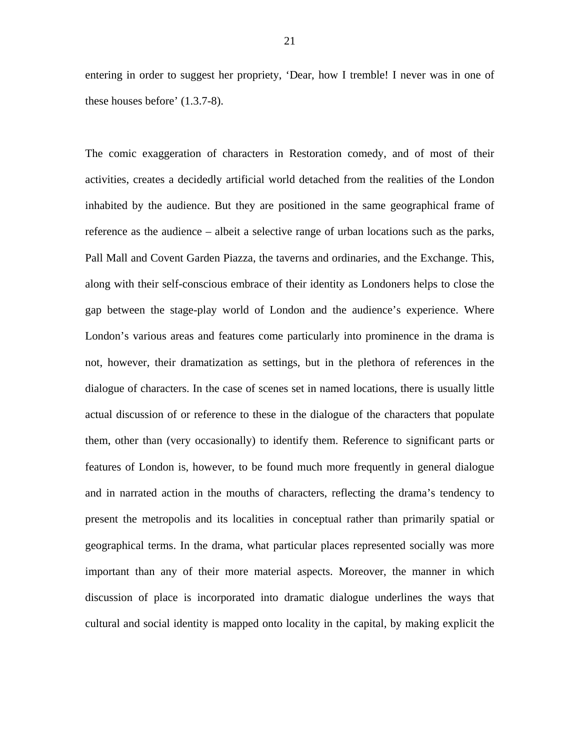entering in order to suggest her propriety, 'Dear, how I tremble! I never was in one of these houses before' (1.3.7-8).

The comic exaggeration of characters in Restoration comedy, and of most of their activities, creates a decidedly artificial world detached from the realities of the London inhabited by the audience. But they are positioned in the same geographical frame of reference as the audience – albeit a selective range of urban locations such as the parks, Pall Mall and Covent Garden Piazza, the taverns and ordinaries, and the Exchange. This, along with their self-conscious embrace of their identity as Londoners helps to close the gap between the stage-play world of London and the audience's experience. Where London's various areas and features come particularly into prominence in the drama is not, however, their dramatization as settings, but in the plethora of references in the dialogue of characters. In the case of scenes set in named locations, there is usually little actual discussion of or reference to these in the dialogue of the characters that populate them, other than (very occasionally) to identify them. Reference to significant parts or features of London is, however, to be found much more frequently in general dialogue and in narrated action in the mouths of characters, reflecting the drama's tendency to present the metropolis and its localities in conceptual rather than primarily spatial or geographical terms. In the drama, what particular places represented socially was more important than any of their more material aspects. Moreover, the manner in which discussion of place is incorporated into dramatic dialogue underlines the ways that cultural and social identity is mapped onto locality in the capital, by making explicit the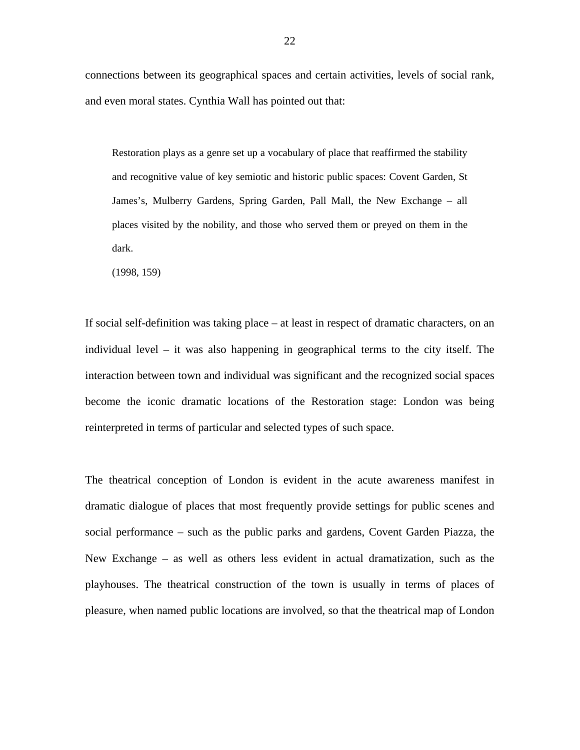connections between its geographical spaces and certain activities, levels of social rank, and even moral states. Cynthia Wall has pointed out that:

Restoration plays as a genre set up a vocabulary of place that reaffirmed the stability and recognitive value of key semiotic and historic public spaces: Covent Garden, St James's, Mulberry Gardens, Spring Garden, Pall Mall, the New Exchange – all places visited by the nobility, and those who served them or preyed on them in the dark.

(1998, 159)

If social self-definition was taking place – at least in respect of dramatic characters, on an individual level – it was also happening in geographical terms to the city itself. The interaction between town and individual was significant and the recognized social spaces become the iconic dramatic locations of the Restoration stage: London was being reinterpreted in terms of particular and selected types of such space.

<span id="page-22-1"></span><span id="page-22-0"></span>The theatrical conception of London is evident in the acute awareness manifest in dramatic dialogue of places that most frequently provide settings for public scenes and social performance – such as the public parks and gardens, Covent Garden Piazza, the New Exchange – as well as others less evident in actual dramatization, such as the playhouses. The theatrical construction of the town is usually in terms of places of pleasure, when named public locations are involved, so that the theatrical map of London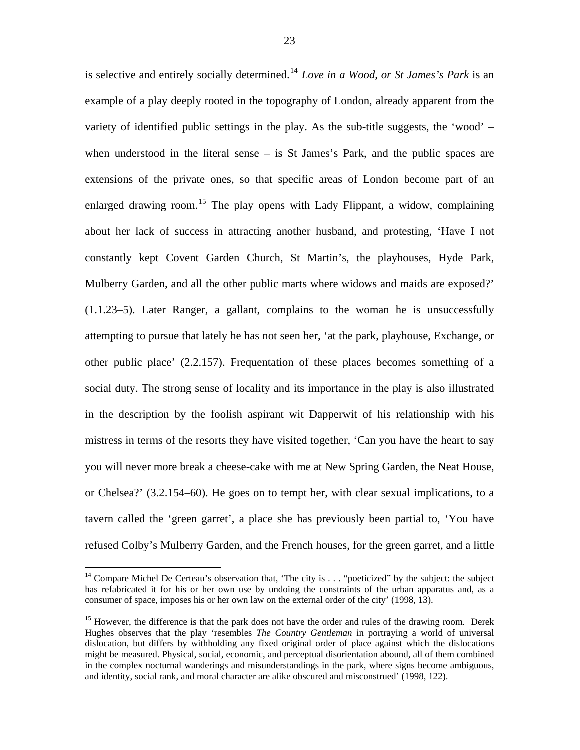is selective and entirely socially determined.[14](#page-22-0) *Love in a Wood, or St James's Park* is an example of a play deeply rooted in the topography of London, already apparent from the variety of identified public settings in the play. As the sub-title suggests, the 'wood' – when understood in the literal sense – is St James's Park, and the public spaces are extensions of the private ones, so that specific areas of London become part of an enlarged drawing room.<sup>[15](#page-22-1)</sup> The play opens with Lady Flippant, a widow, complaining about her lack of success in attracting another husband, and protesting, 'Have I not constantly kept Covent Garden Church, St Martin's, the playhouses, Hyde Park, Mulberry Garden, and all the other public marts where widows and maids are exposed?' (1.1.23–5). Later Ranger, a gallant, complains to the woman he is unsuccessfully attempting to pursue that lately he has not seen her, 'at the park, playhouse, Exchange, or other public place' (2.2.157). Frequentation of these places becomes something of a social duty. The strong sense of locality and its importance in the play is also illustrated in the description by the foolish aspirant wit Dapperwit of his relationship with his mistress in terms of the resorts they have visited together, 'Can you have the heart to say you will never more break a cheese-cake with me at New Spring Garden, the Neat House, or Chelsea?' (3.2.154–60). He goes on to tempt her, with clear sexual implications, to a tavern called the 'green garret', a place she has previously been partial to, 'You have refused Colby's Mulberry Garden, and the French houses, for the green garret, and a little

<sup>&</sup>lt;sup>14</sup> Compare Michel De Certeau's observation that, 'The city is . . . "poeticized" by the subject: the subject has refabricated it for his or her own use by undoing the constraints of the urban apparatus and, as a consumer of space, imposes his or her own law on the external order of the city' (1998, 13).

<sup>&</sup>lt;sup>15</sup> However, the difference is that the park does not have the order and rules of the drawing room. Derek Hughes observes that the play 'resembles *The Country Gentleman* in portraying a world of universal dislocation, but differs by withholding any fixed original order of place against which the dislocations might be measured. Physical, social, economic, and perceptual disorientation abound, all of them combined in the complex nocturnal wanderings and misunderstandings in the park, where signs become ambiguous, and identity, social rank, and moral character are alike obscured and misconstrued' (1998, 122).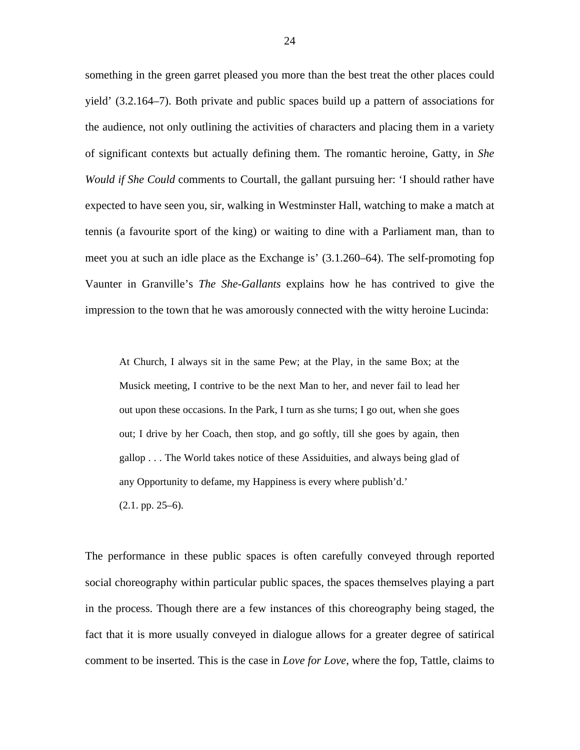something in the green garret pleased you more than the best treat the other places could yield' (3.2.164–7). Both private and public spaces build up a pattern of associations for the audience, not only outlining the activities of characters and placing them in a variety of significant contexts but actually defining them. The romantic heroine, Gatty, in *She Would if She Could* comments to Courtall, the gallant pursuing her: 'I should rather have expected to have seen you, sir, walking in Westminster Hall, watching to make a match at tennis (a favourite sport of the king) or waiting to dine with a Parliament man, than to meet you at such an idle place as the Exchange is' (3.1.260–64). The self-promoting fop Vaunter in Granville's *The She-Gallants* explains how he has contrived to give the impression to the town that he was amorously connected with the witty heroine Lucinda:

At Church, I always sit in the same Pew; at the Play, in the same Box; at the Musick meeting, I contrive to be the next Man to her, and never fail to lead her out upon these occasions. In the Park, I turn as she turns; I go out, when she goes out; I drive by her Coach, then stop, and go softly, till she goes by again, then gallop . . . The World takes notice of these Assiduities, and always being glad of any Opportunity to defame, my Happiness is every where publish'd.'

(2.1. pp. 25–6).

<span id="page-24-0"></span>The performance in these public spaces is often carefully conveyed through reported social choreography within particular public spaces, the spaces themselves playing a part in the process. Though there are a few instances of this choreography being staged, the fact that it is more usually conveyed in dialogue allows for a greater degree of satirical comment to be inserted. This is the case in *Love for Love*, where the fop, Tattle, claims to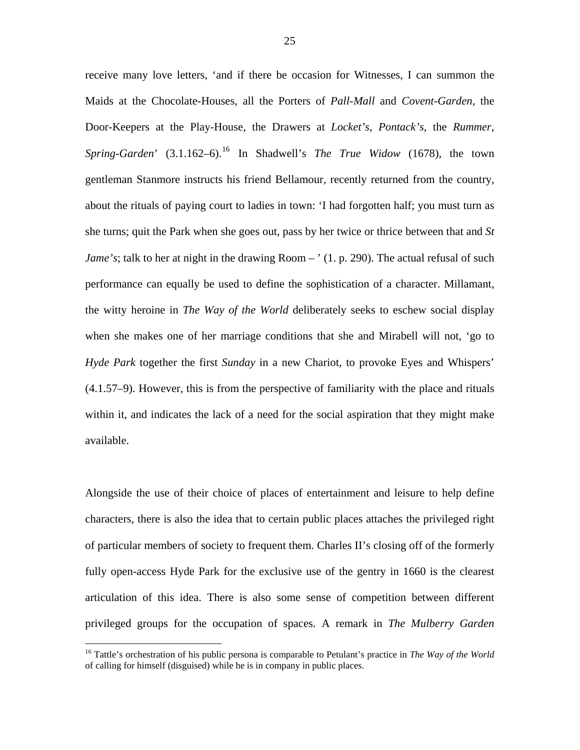receive many love letters, 'and if there be occasion for Witnesses, I can summon the Maids at the Chocolate-Houses, all the Porters of *Pall-Mall* and *Covent-Garden*, the Door-Keepers at the Play-House, the Drawers at *Locket's*, *Pontack's*, the *Rummer*, *Spring-Garden*' (3.1.[16](#page-24-0)2–6).<sup>16</sup> In Shadwell's *The True Widow* (1678), the town gentleman Stanmore instructs his friend Bellamour, recently returned from the country, about the rituals of paying court to ladies in town: 'I had forgotten half; you must turn as she turns; quit the Park when she goes out, pass by her twice or thrice between that and *St Jame's*; talk to her at night in the drawing Room – ' (1, p. 290). The actual refusal of such performance can equally be used to define the sophistication of a character. Millamant, the witty heroine in *The Way of the World* deliberately seeks to eschew social display when she makes one of her marriage conditions that she and Mirabell will not, 'go to *Hyde Park* together the first *Sunday* in a new Chariot, to provoke Eyes and Whispers' (4.1.57–9). However, this is from the perspective of familiarity with the place and rituals within it, and indicates the lack of a need for the social aspiration that they might make available.

Alongside the use of their choice of places of entertainment and leisure to help define characters, there is also the idea that to certain public places attaches the privileged right of particular members of society to frequent them. Charles II's closing off of the formerly fully open-access Hyde Park for the exclusive use of the gentry in 1660 is the clearest articulation of this idea. There is also some sense of competition between different privileged groups for the occupation of spaces. A remark in *The Mulberry Garden* 

<u>.</u>

<sup>16</sup> Tattle's orchestration of his public persona is comparable to Petulant's practice in *The Way of the World* of calling for himself (disguised) while he is in company in public places.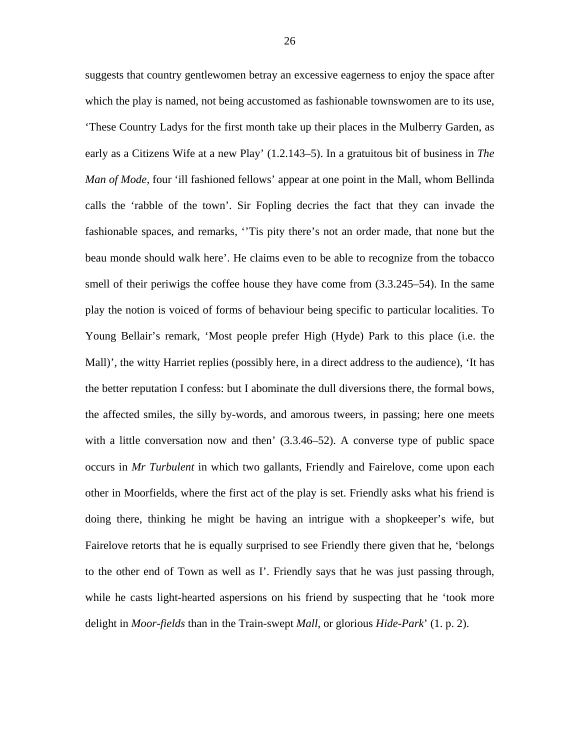suggests that country gentlewomen betray an excessive eagerness to enjoy the space after which the play is named, not being accustomed as fashionable townswomen are to its use, 'These Country Ladys for the first month take up their places in the Mulberry Garden, as early as a Citizens Wife at a new Play' (1.2.143–5). In a gratuitous bit of business in *The Man of Mode*, four 'ill fashioned fellows' appear at one point in the Mall, whom Bellinda calls the 'rabble of the town'. Sir Fopling decries the fact that they can invade the fashionable spaces, and remarks, ''Tis pity there's not an order made, that none but the beau monde should walk here'. He claims even to be able to recognize from the tobacco smell of their periwigs the coffee house they have come from (3.3.245–54). In the same play the notion is voiced of forms of behaviour being specific to particular localities. To Young Bellair's remark, 'Most people prefer High (Hyde) Park to this place (i.e. the Mall)', the witty Harriet replies (possibly here, in a direct address to the audience), 'It has the better reputation I confess: but I abominate the dull diversions there, the formal bows, the affected smiles, the silly by-words, and amorous tweers, in passing; here one meets with a little conversation now and then'  $(3.3.46-52)$ . A converse type of public space occurs in *Mr Turbulent* in which two gallants, Friendly and Fairelove, come upon each other in Moorfields, where the first act of the play is set. Friendly asks what his friend is doing there, thinking he might be having an intrigue with a shopkeeper's wife, but Fairelove retorts that he is equally surprised to see Friendly there given that he, 'belongs to the other end of Town as well as I'. Friendly says that he was just passing through, while he casts light-hearted aspersions on his friend by suspecting that he 'took more delight in *Moor-fields* than in the Train-swept *Mall*, or glorious *Hide-Park*' (1. p. 2).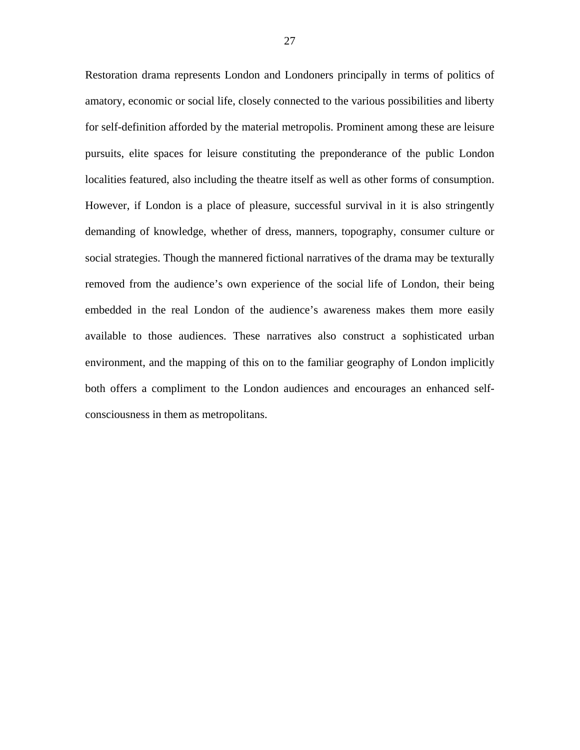Restoration drama represents London and Londoners principally in terms of politics of amatory, economic or social life, closely connected to the various possibilities and liberty for self-definition afforded by the material metropolis. Prominent among these are leisure pursuits, elite spaces for leisure constituting the preponderance of the public London localities featured, also including the theatre itself as well as other forms of consumption. However, if London is a place of pleasure, successful survival in it is also stringently demanding of knowledge, whether of dress, manners, topography, consumer culture or social strategies. Though the mannered fictional narratives of the drama may be texturally removed from the audience's own experience of the social life of London, their being embedded in the real London of the audience's awareness makes them more easily available to those audiences. These narratives also construct a sophisticated urban environment, and the mapping of this on to the familiar geography of London implicitly both offers a compliment to the London audiences and encourages an enhanced selfconsciousness in them as metropolitans.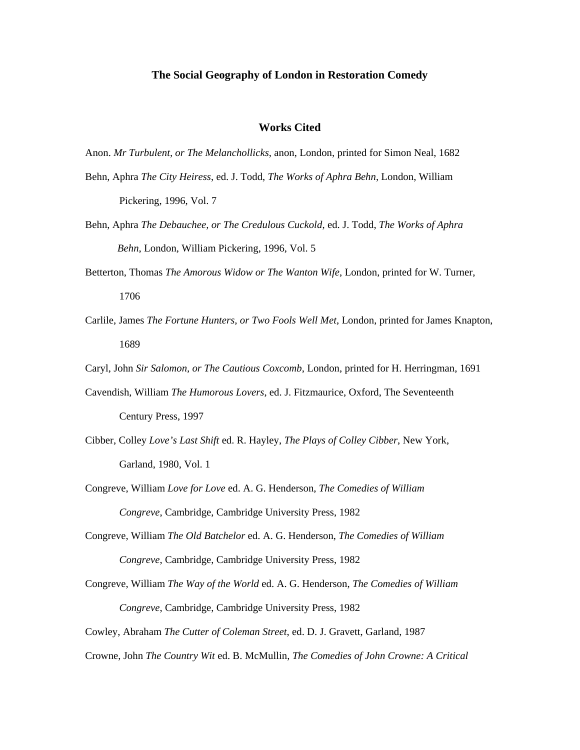#### **The Social Geography of London in Restoration Comedy**

#### **Works Cited**

Anon. *Mr Turbulent, or The Melanchollicks*, anon, London, printed for Simon Neal, 1682

- Behn, Aphra *The City Heiress*, ed. J. Todd, *The Works of Aphra Behn*, London, William Pickering, 1996, Vol. 7
- Behn, Aphra *The Debauchee, or The Credulous Cuckold*, ed. J. Todd, *The Works of Aphra Behn*, London, William Pickering, 1996, Vol. 5
- Betterton, Thomas *The Amorous Widow or The Wanton Wife*, London, printed for W. Turner, 1706
- Carlile, James *The Fortune Hunters, or Two Fools Well Met*, London, printed for James Knapton, 1689
- Caryl, John *Sir Salomon, or The Cautious Coxcomb*, London, printed for H. Herringman, 1691
- Cavendish, William *The Humorous Lovers*, ed. J. Fitzmaurice, Oxford, The Seventeenth Century Press, 1997
- Cibber, Colley *Love's Last Shift* ed. R. Hayley, *The Plays of Colley Cibber*, New York, Garland, 1980, Vol. 1
- Congreve, William *Love for Love* ed. A. G. Henderson, *The Comedies of William Congreve*, Cambridge, Cambridge University Press, 1982
- Congreve, William *The Old Batchelor* ed. A. G. Henderson, *The Comedies of William Congreve*, Cambridge, Cambridge University Press, 1982
- Congreve, William *The Way of the World* ed. A. G. Henderson, *The Comedies of William Congreve*, Cambridge, Cambridge University Press, 1982

Cowley, Abraham *The Cutter of Coleman Street*, ed. D. J. Gravett, Garland, 1987

Crowne, John *The Country Wit* ed. B. McMullin, *The Comedies of John Crowne: A Critical*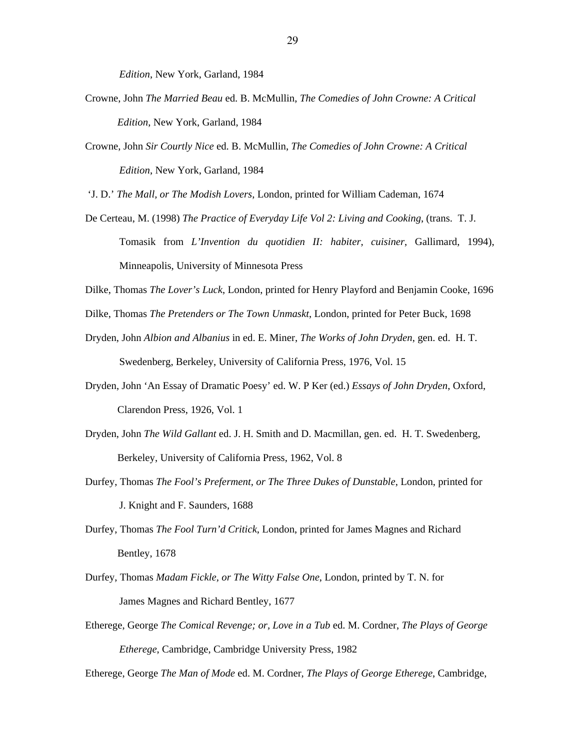*Edition*, New York, Garland, 1984

- Crowne, John *The Married Beau* ed. B. McMullin, *The Comedies of John Crowne: A Critical Edition*, New York, Garland, 1984
- Crowne, John *Sir Courtly Nice* ed. B. McMullin, *The Comedies of John Crowne: A Critical Edition*, New York, Garland, 1984

'J. D.' *The Mall, or The Modish Lovers*, London, printed for William Cademan, 1674

- De Certeau, M. (1998) *The Practice of Everyday Life Vol 2: Living and Cooking*, (trans. T. J. Tomasik from *L'Invention du quotidien II: habiter, cuisiner*, Gallimard, 1994), Minneapolis, University of Minnesota Press
- Dilke, Thomas *The Lover's Luck*, London, printed for Henry Playford and Benjamin Cooke, 1696

Dilke, Thomas *The Pretenders or The Town Unmaskt*, London, printed for Peter Buck, 1698

- Dryden, John *Albion and Albanius* in ed. E. Miner, *The Works of John Dryden*, gen. ed. H. T. Swedenberg, Berkeley, University of California Press, 1976, Vol. 15
- Dryden, John 'An Essay of Dramatic Poesy' ed. W. P Ker (ed.) *Essays of John Dryden*, Oxford, Clarendon Press, 1926, Vol. 1
- Dryden, John *The Wild Gallant* ed. J. H. Smith and D. Macmillan, gen. ed. H. T. Swedenberg, Berkeley, University of California Press, 1962, Vol. 8
- Durfey, Thomas *The Fool's Preferment, or The Three Dukes of Dunstable*, London, printed for J. Knight and F. Saunders, 1688
- Durfey, Thomas *The Fool Turn'd Critick*, London, printed for James Magnes and Richard Bentley, 1678
- Durfey, Thomas *Madam Fickle, or The Witty False One*, London, printed by T. N. for James Magnes and Richard Bentley, 1677
- Etherege, George *The Comical Revenge; or, Love in a Tub* ed. M. Cordner, *The Plays of George Etherege*, Cambridge, Cambridge University Press, 1982

Etherege, George *The Man of Mode* ed. M. Cordner, *The Plays of George Etherege*, Cambridge,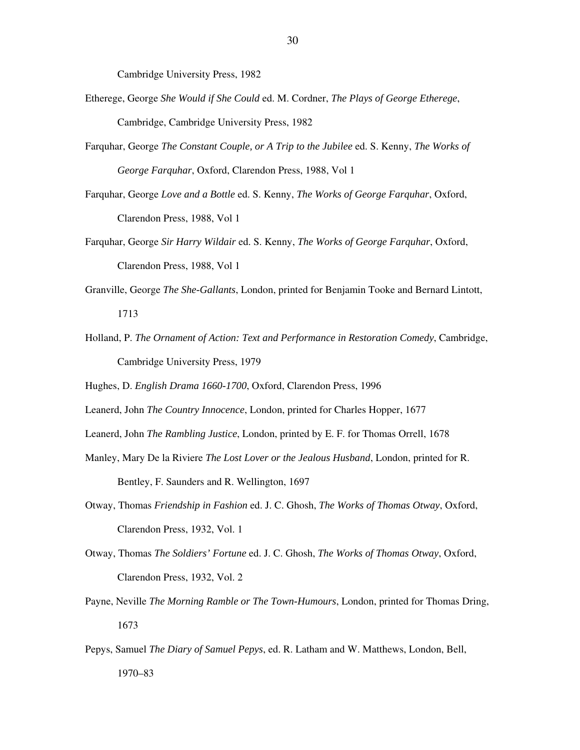Cambridge University Press, 1982

- Etherege, George *She Would if She Could* ed. M. Cordner, *The Plays of George Etherege*, Cambridge, Cambridge University Press, 1982
- Farquhar, George *The Constant Couple, or A Trip to the Jubilee* ed. S. Kenny, *The Works of George Farquhar*, Oxford, Clarendon Press, 1988, Vol 1
- Farquhar, George *Love and a Bottle* ed. S. Kenny, *The Works of George Farquhar*, Oxford, Clarendon Press, 1988, Vol 1
- Farquhar, George *Sir Harry Wildair* ed. S. Kenny, *The Works of George Farquhar*, Oxford, Clarendon Press, 1988, Vol 1
- Granville, George *The She-Gallants*, London, printed for Benjamin Tooke and Bernard Lintott, 1713
- Holland, P. *The Ornament of Action: Text and Performance in Restoration Comedy*, Cambridge, Cambridge University Press, 1979
- Hughes, D. *English Drama 1660-1700*, Oxford, Clarendon Press, 1996
- Leanerd, John *The Country Innocence*, London, printed for Charles Hopper, 1677
- Leanerd, John *The Rambling Justice*, London, printed by E. F. for Thomas Orrell, 1678
- Manley, Mary De la Riviere *The Lost Lover or the Jealous Husband*, London, printed for R. Bentley, F. Saunders and R. Wellington, 1697
- Otway, Thomas *Friendship in Fashion* ed. J. C. Ghosh, *The Works of Thomas Otway*, Oxford, Clarendon Press, 1932, Vol. 1
- Otway, Thomas *The Soldiers' Fortune* ed. J. C. Ghosh, *The Works of Thomas Otway*, Oxford, Clarendon Press, 1932, Vol. 2
- Payne, Neville *The Morning Ramble or The Town-Humours*, London, printed for Thomas Dring, 1673
- Pepys, Samuel *The Diary of Samuel Pepys*, ed. R. Latham and W. Matthews, London, Bell, 1970–83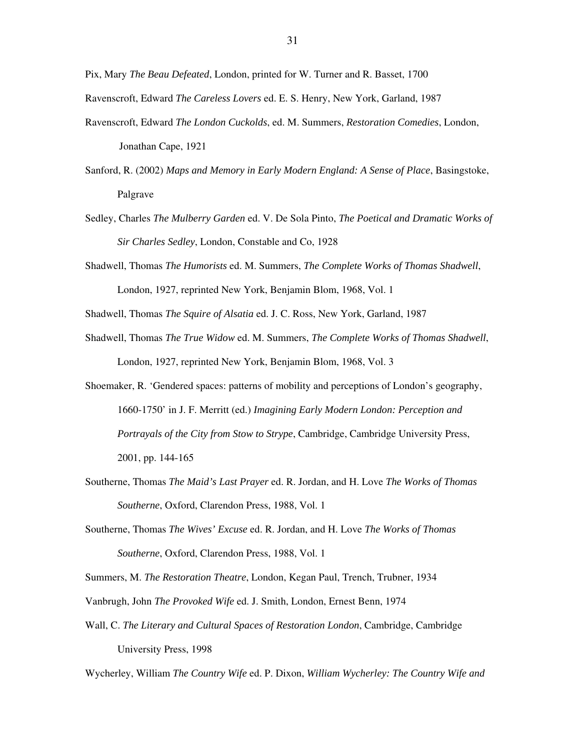Pix, Mary *The Beau Defeated*, London, printed for W. Turner and R. Basset, 1700

Ravenscroft, Edward *The Careless Lovers* ed. E. S. Henry, New York, Garland, 1987

- Ravenscroft, Edward *The London Cuckolds*, ed. M. Summers, *Restoration Comedies*, London, Jonathan Cape, 1921
- Sanford, R. (2002) *Maps and Memory in Early Modern England: A Sense of Place*, Basingstoke, Palgrave
- Sedley, Charles *The Mulberry Garden* ed. V. De Sola Pinto, *The Poetical and Dramatic Works of Sir Charles Sedley*, London, Constable and Co, 1928
- Shadwell, Thomas *The Humorists* ed. M. Summers, *The Complete Works of Thomas Shadwell*, London, 1927, reprinted New York, Benjamin Blom, 1968, Vol. 1
- Shadwell, Thomas *The Squire of Alsatia* ed. J. C. Ross, New York, Garland, 1987
- Shadwell, Thomas *The True Widow* ed. M. Summers, *The Complete Works of Thomas Shadwell*, London, 1927, reprinted New York, Benjamin Blom, 1968, Vol. 3
- Shoemaker, R. 'Gendered spaces: patterns of mobility and perceptions of London's geography, 1660-1750' in J. F. Merritt (ed.) *Imagining Early Modern London: Perception and Portrayals of the City from Stow to Strype*, Cambridge, Cambridge University Press, 2001, pp. 144-165
- Southerne, Thomas *The Maid's Last Prayer* ed. R. Jordan, and H. Love *The Works of Thomas Southerne*, Oxford, Clarendon Press, 1988, Vol. 1
- Southerne, Thomas *The Wives' Excuse* ed. R. Jordan, and H. Love *The Works of Thomas Southerne*, Oxford, Clarendon Press, 1988, Vol. 1

Summers, M. *The Restoration Theatre*, London, Kegan Paul, Trench, Trubner, 1934

- Vanbrugh, John *The Provoked Wife* ed. J. Smith, London, Ernest Benn, 1974
- Wall, C. *The Literary and Cultural Spaces of Restoration London*, Cambridge, Cambridge University Press, 1998

Wycherley, William *The Country Wife* ed. P. Dixon, *William Wycherley: The Country Wife and*